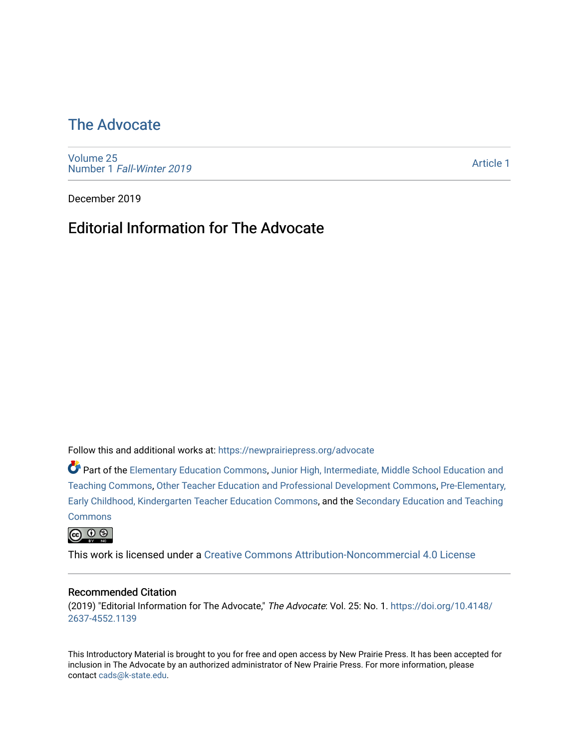# [The Advocate](https://newprairiepress.org/advocate)

[Volume 25](https://newprairiepress.org/advocate/vol25) Number 1 [Fall-Winter 2019](https://newprairiepress.org/advocate/vol25/iss1)

[Article 1](https://newprairiepress.org/advocate/vol25/iss1/1) 

December 2019

## Editorial Information for The Advocate

Follow this and additional works at: [https://newprairiepress.org/advocate](https://newprairiepress.org/advocate?utm_source=newprairiepress.org%2Fadvocate%2Fvol25%2Fiss1%2F1&utm_medium=PDF&utm_campaign=PDFCoverPages) 

Part of the [Elementary Education Commons,](http://network.bepress.com/hgg/discipline/1378?utm_source=newprairiepress.org%2Fadvocate%2Fvol25%2Fiss1%2F1&utm_medium=PDF&utm_campaign=PDFCoverPages) [Junior High, Intermediate, Middle School Education and](http://network.bepress.com/hgg/discipline/807?utm_source=newprairiepress.org%2Fadvocate%2Fvol25%2Fiss1%2F1&utm_medium=PDF&utm_campaign=PDFCoverPages) [Teaching Commons](http://network.bepress.com/hgg/discipline/807?utm_source=newprairiepress.org%2Fadvocate%2Fvol25%2Fiss1%2F1&utm_medium=PDF&utm_campaign=PDFCoverPages), [Other Teacher Education and Professional Development Commons,](http://network.bepress.com/hgg/discipline/810?utm_source=newprairiepress.org%2Fadvocate%2Fvol25%2Fiss1%2F1&utm_medium=PDF&utm_campaign=PDFCoverPages) [Pre-Elementary,](http://network.bepress.com/hgg/discipline/808?utm_source=newprairiepress.org%2Fadvocate%2Fvol25%2Fiss1%2F1&utm_medium=PDF&utm_campaign=PDFCoverPages) [Early Childhood, Kindergarten Teacher Education Commons](http://network.bepress.com/hgg/discipline/808?utm_source=newprairiepress.org%2Fadvocate%2Fvol25%2Fiss1%2F1&utm_medium=PDF&utm_campaign=PDFCoverPages), and the [Secondary Education and Teaching](http://network.bepress.com/hgg/discipline/809?utm_source=newprairiepress.org%2Fadvocate%2Fvol25%2Fiss1%2F1&utm_medium=PDF&utm_campaign=PDFCoverPages) **[Commons](http://network.bepress.com/hgg/discipline/809?utm_source=newprairiepress.org%2Fadvocate%2Fvol25%2Fiss1%2F1&utm_medium=PDF&utm_campaign=PDFCoverPages)** 

 $\circledcirc$   $\circledcirc$ 

This work is licensed under a [Creative Commons Attribution-Noncommercial 4.0 License](https://creativecommons.org/licenses/by-nc/4.0/)

#### Recommended Citation

(2019) "Editorial Information for The Advocate," The Advocate: Vol. 25: No. 1. [https://doi.org/10.4148/](https://doi.org/10.4148/2637-4552.1139) [2637-4552.1139](https://doi.org/10.4148/2637-4552.1139) 

This Introductory Material is brought to you for free and open access by New Prairie Press. It has been accepted for inclusion in The Advocate by an authorized administrator of New Prairie Press. For more information, please contact [cads@k-state.edu](mailto:cads@k-state.edu).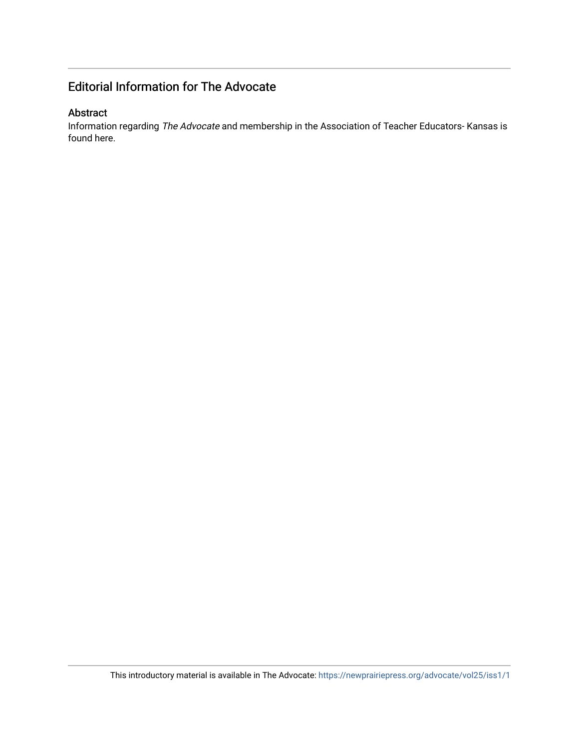### Editorial Information for The Advocate

#### Abstract

Information regarding The Advocate and membership in the Association of Teacher Educators- Kansas is found here.